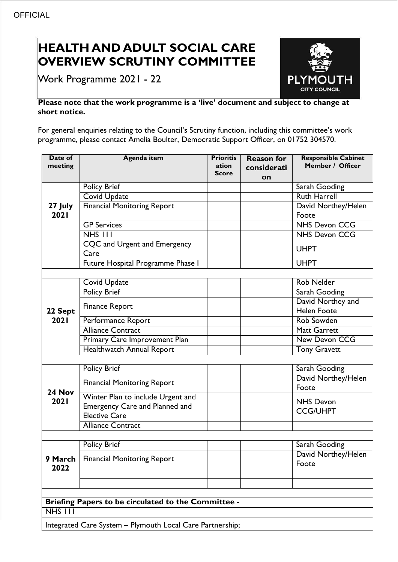## **HEALTH AND ADULT SOCIAL CARE OVERVIEW SCRUTINY COMMITTEE**

Work Programme 2021 - 22



## **Please note that the work programme is a 'live' document and subject to change at short notice.**

For general enquiries relating to the Council's Scrutiny function, including this committee's work programme, please contact Amelia Boulter, Democratic Support Officer, on 01752 304570.

| Date of<br>meeting                                        | <b>Agenda item</b>                    | <b>Prioritis</b><br>ation<br><b>Score</b> | <b>Reason for</b><br>considerati<br>on | <b>Responsible Cabinet</b><br>Member / Officer |  |
|-----------------------------------------------------------|---------------------------------------|-------------------------------------------|----------------------------------------|------------------------------------------------|--|
| 27 July<br>2021                                           | <b>Policy Brief</b>                   |                                           |                                        | Sarah Gooding                                  |  |
|                                                           | <b>Covid Update</b>                   |                                           |                                        | <b>Ruth Harrell</b>                            |  |
|                                                           | <b>Financial Monitoring Report</b>    |                                           |                                        | David Northey/Helen                            |  |
|                                                           |                                       |                                           |                                        | Foote                                          |  |
|                                                           | <b>GP Services</b>                    |                                           |                                        | <b>NHS Devon CCG</b>                           |  |
|                                                           | $NHS$ $111$                           |                                           |                                        | <b>NHS Devon CCG</b>                           |  |
|                                                           | CQC and Urgent and Emergency          |                                           |                                        | <b>UHPT</b>                                    |  |
|                                                           | Care                                  |                                           |                                        |                                                |  |
|                                                           | Future Hospital Programme Phase I     |                                           |                                        | <b>UHPT</b>                                    |  |
|                                                           |                                       |                                           |                                        |                                                |  |
| 22 Sept<br>2021                                           | <b>Covid Update</b>                   |                                           |                                        | <b>Rob Nelder</b>                              |  |
|                                                           | <b>Policy Brief</b>                   |                                           |                                        | Sarah Gooding                                  |  |
|                                                           | <b>Finance Report</b>                 |                                           |                                        | David Northey and                              |  |
|                                                           |                                       |                                           |                                        | <b>Helen Foote</b>                             |  |
|                                                           | Performance Report                    |                                           |                                        | Rob Sowden                                     |  |
|                                                           | <b>Alliance Contract</b>              |                                           |                                        | <b>Matt Garrett</b>                            |  |
|                                                           | Primary Care Improvement Plan         |                                           |                                        | New Devon CCG                                  |  |
|                                                           | Healthwatch Annual Report             |                                           |                                        | <b>Tony Gravett</b>                            |  |
|                                                           |                                       |                                           |                                        |                                                |  |
|                                                           | Policy Brief                          |                                           |                                        | Sarah Gooding                                  |  |
| 24 Nov<br>2021                                            | <b>Financial Monitoring Report</b>    |                                           |                                        | David Northey/Helen<br>Foote                   |  |
|                                                           | Winter Plan to include Urgent and     |                                           |                                        | <b>NHS Devon</b>                               |  |
|                                                           | <b>Emergency Care and Planned and</b> |                                           |                                        | <b>CCG/UHPT</b>                                |  |
|                                                           | <b>Elective Care</b>                  |                                           |                                        |                                                |  |
|                                                           | <b>Alliance Contract</b>              |                                           |                                        |                                                |  |
|                                                           |                                       |                                           |                                        |                                                |  |
| 9 March<br>2022                                           | <b>Policy Brief</b>                   |                                           |                                        | Sarah Gooding                                  |  |
|                                                           | <b>Financial Monitoring Report</b>    |                                           |                                        | David Northey/Helen<br>Foote                   |  |
|                                                           |                                       |                                           |                                        |                                                |  |
|                                                           |                                       |                                           |                                        |                                                |  |
|                                                           |                                       |                                           |                                        |                                                |  |
| Briefing Papers to be circulated to the Committee -       |                                       |                                           |                                        |                                                |  |
| NHS III                                                   |                                       |                                           |                                        |                                                |  |
| Integrated Care System - Plymouth Local Care Partnership; |                                       |                                           |                                        |                                                |  |